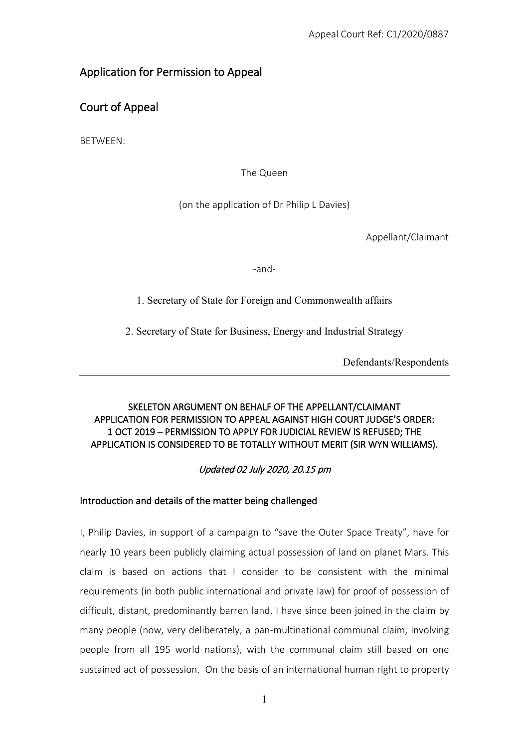## Application for Permission to Appeal

Court of Appeal

BETWEEN:

The Queen

(on the application of Dr Philip L Davies)

Appellant/Claimant

-and-

1. Secretary of State for Foreign and Commonwealth affairs

2. Secretary of State for Business, Energy and Industrial Strategy

Defendants/Respondents

### SKELETON ARGUMENT ON BEHALF OF THE APPELLANT/CLAIMANT APPLICATION FOR PERMISSION TO APPEAL AGAINST HIGH COURT JUDGE'S ORDER: 1 OCT 2019 – PERMISSION TO APPLY FOR JUDICIAL REVIEW IS REFUSED; THE APPLICATION IS CONSIDERED TO BE TOTALLY WITHOUT MERIT (SIR WYN WILLIAMS).

## Updated 02 July 2020, 20.15 pm

### Introduction and details of the matter being challenged

I, Philip Davies, in support of a campaign to "save the Outer Space Treaty", have for nearly 10 years been publicly claiming actual possession of land on planet Mars. This claim is based on actions that I consider to be consistent with the minimal requirements (in both public international and private law) for proof of possession of difficult, distant, predominantly barren land. I have since been joined in the claim by many people (now, very deliberately, a pan-multinational communal claim, involving people from all 195 world nations), with the communal claim still based on one sustained act of possession. On the basis of an international human right to property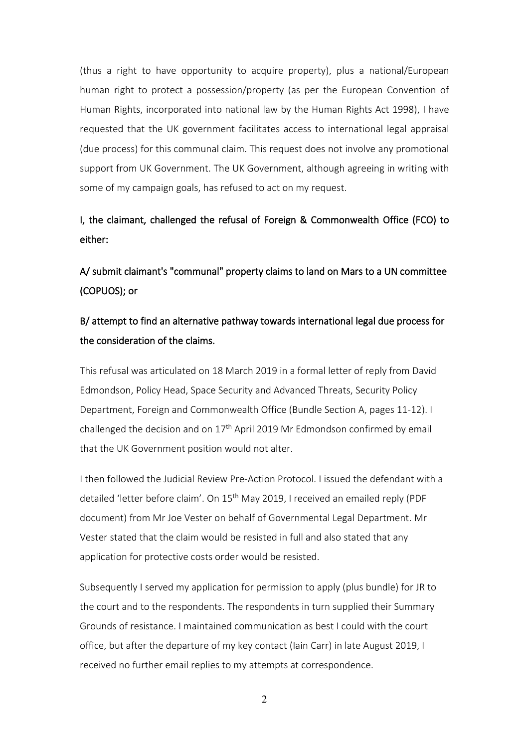(thus a right to have opportunity to acquire property), plus a national/European human right to protect a possession/property (as per the European Convention of Human Rights, incorporated into national law by the Human Rights Act 1998), I have requested that the UK government facilitates access to international legal appraisal (due process) for this communal claim. This request does not involve any promotional support from UK Government. The UK Government, although agreeing in writing with some of my campaign goals, has refused to act on my request.

# I, the claimant, challenged the refusal of Foreign & Commonwealth Office (FCO) to either:

A/ submit claimant's "communal" property claims to land on Mars to a UN committee (COPUOS); or

# B/ attempt to find an alternative pathway towards international legal due process for the consideration of the claims.

This refusal was articulated on 18 March 2019 in a formal letter of reply from David Edmondson, Policy Head, Space Security and Advanced Threats, Security Policy Department, Foreign and Commonwealth Office (Bundle Section A, pages 11-12). I challenged the decision and on  $17<sup>th</sup>$  April 2019 Mr Edmondson confirmed by email that the UK Government position would not alter.

I then followed the Judicial Review Pre-Action Protocol. I issued the defendant with a detailed 'letter before claim'. On 15<sup>th</sup> May 2019, I received an emailed reply (PDF document) from Mr Joe Vester on behalf of Governmental Legal Department. Mr Vester stated that the claim would be resisted in full and also stated that any application for protective costs order would be resisted.

Subsequently I served my application for permission to apply (plus bundle) for JR to the court and to the respondents. The respondents in turn supplied their Summary Grounds of resistance. I maintained communication as best I could with the court office, but after the departure of my key contact (Iain Carr) in late August 2019, I received no further email replies to my attempts at correspondence.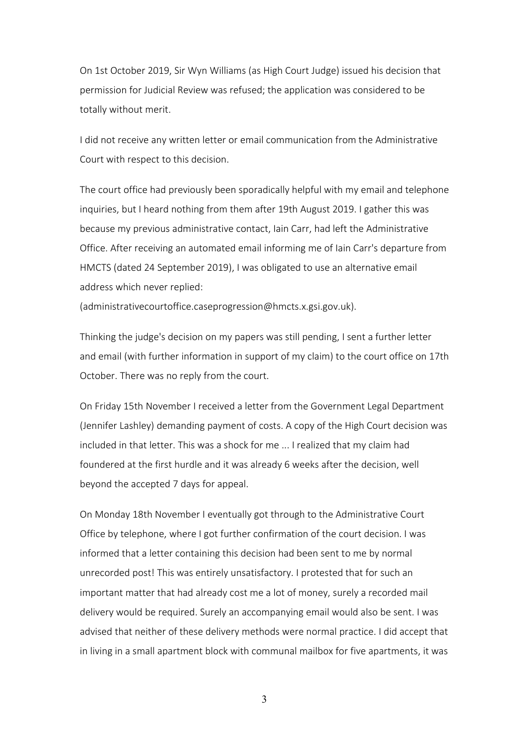On 1st October 2019, Sir Wyn Williams (as High Court Judge) issued his decision that permission for Judicial Review was refused; the application was considered to be totally without merit.

I did not receive any written letter or email communication from the Administrative Court with respect to this decision.

The court office had previously been sporadically helpful with my email and telephone inquiries, but I heard nothing from them after 19th August 2019. I gather this was because my previous administrative contact, Iain Carr, had left the Administrative Office. After receiving an automated email informing me of Iain Carr's departure from HMCTS (dated 24 September 2019), I was obligated to use an alternative email address which never replied:

(administrativecourtoffice.caseprogression@hmcts.x.gsi.gov.uk).

Thinking the judge's decision on my papers was still pending, I sent a further letter and email (with further information in support of my claim) to the court office on 17th October. There was no reply from the court.

On Friday 15th November I received a letter from the Government Legal Department (Jennifer Lashley) demanding payment of costs. A copy of the High Court decision was included in that letter. This was a shock for me ... I realized that my claim had foundered at the first hurdle and it was already 6 weeks after the decision, well beyond the accepted 7 days for appeal.

On Monday 18th November I eventually got through to the Administrative Court Office by telephone, where I got further confirmation of the court decision. I was informed that a letter containing this decision had been sent to me by normal unrecorded post! This was entirely unsatisfactory. I protested that for such an important matter that had already cost me a lot of money, surely a recorded mail delivery would be required. Surely an accompanying email would also be sent. I was advised that neither of these delivery methods were normal practice. I did accept that in living in a small apartment block with communal mailbox for five apartments, it was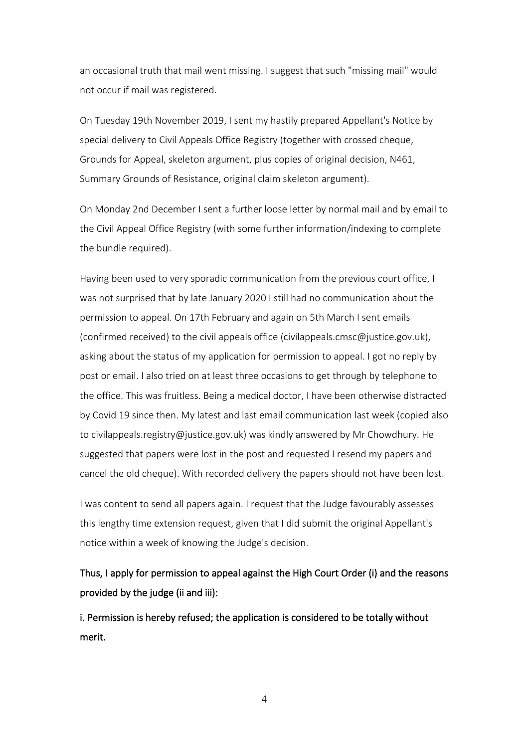an occasional truth that mail went missing. I suggest that such "missing mail" would not occur if mail was registered.

On Tuesday 19th November 2019, I sent my hastily prepared Appellant's Notice by special delivery to Civil Appeals Office Registry (together with crossed cheque, Grounds for Appeal, skeleton argument, plus copies of original decision, N461, Summary Grounds of Resistance, original claim skeleton argument).

On Monday 2nd December I sent a further loose letter by normal mail and by email to the Civil Appeal Office Registry (with some further information/indexing to complete the bundle required).

Having been used to very sporadic communication from the previous court office, I was not surprised that by late January 2020 I still had no communication about the permission to appeal. On 17th February and again on 5th March I sent emails (confirmed received) to the civil appeals office (civilappeals.cmsc@justice.gov.uk), asking about the status of my application for permission to appeal. I got no reply by post or email. I also tried on at least three occasions to get through by telephone to the office. This was fruitless. Being a medical doctor, I have been otherwise distracted by Covid 19 since then. My latest and last email communication last week (copied also to civilappeals.registry@justice.gov.uk) was kindly answered by Mr Chowdhury. He suggested that papers were lost in the post and requested I resend my papers and cancel the old cheque). With recorded delivery the papers should not have been lost.

I was content to send all papers again. I request that the Judge favourably assesses this lengthy time extension request, given that I did submit the original Appellant's notice within a week of knowing the Judge's decision.

Thus, I apply for permission to appeal against the High Court Order (i) and the reasons provided by the judge (ii and iii):

i. Permission is hereby refused; the application is considered to be totally without merit.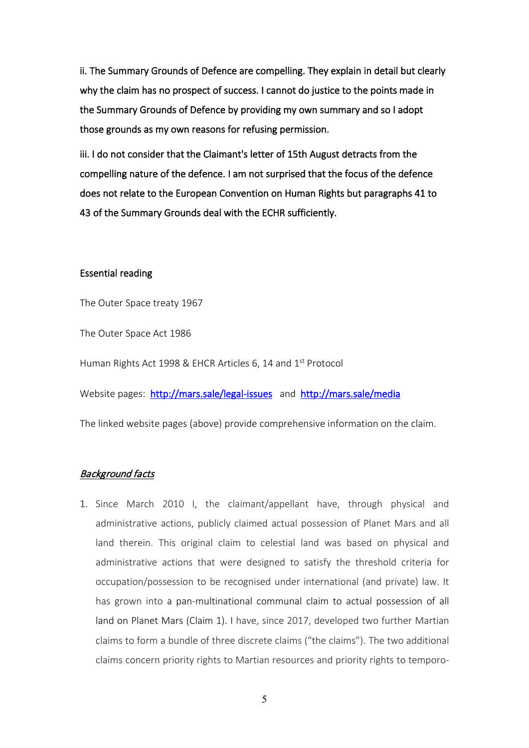ii. The Summary Grounds of Defence are compelling. They explain in detail but clearly why the claim has no prospect of success. I cannot do justice to the points made in the Summary Grounds of Defence by providing my own summary and so I adopt those grounds as my own reasons for refusing permission.

iii. I do not consider that the Claimant's letter of 15th August detracts from the compelling nature of the defence. I am not surprised that the focus of the defence does not relate to the European Convention on Human Rights but paragraphs 41 to 43 of the Summary Grounds deal with the ECHR sufficiently.

#### Essential reading

The Outer Space treaty 1967

The Outer Space Act 1986

Human Rights Act 1998 & EHCR Articles 6, 14 and 1<sup>st</sup> Protocol

Website pages: <http://mars.sale/legal-issues>and <http://mars.sale/media>

The linked website pages (above) provide comprehensive information on the claim.

#### Background facts

1. Since March 2010 I, the claimant/appellant have, through physical and administrative actions, publicly claimed actual possession of Planet Mars and all land therein. This original claim to celestial land was based on physical and administrative actions that were designed to satisfy the threshold criteria for occupation/possession to be recognised under international (and private) law. It has grown into a pan-multinational communal claim to actual possession of all land on Planet Mars (Claim 1). I have, since 2017, developed two further Martian claims to form a bundle of three discrete claims ("the claims"). The two additional claims concern priority rights to Martian resources and priority rights to temporo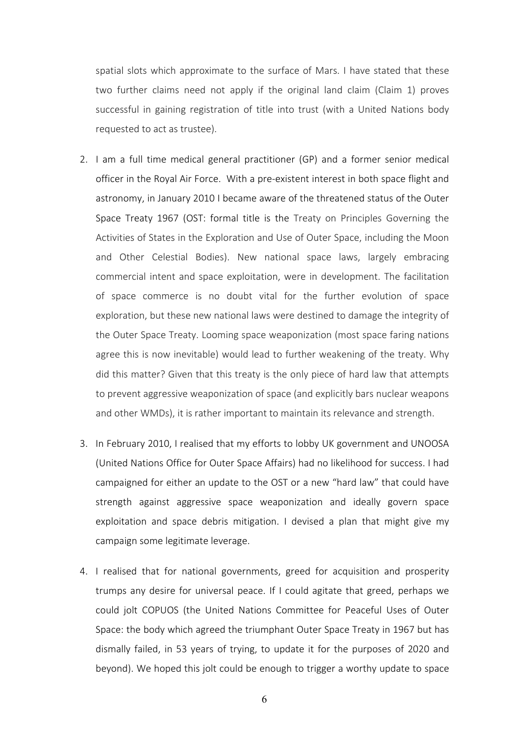spatial slots which approximate to the surface of Mars. I have stated that these two further claims need not apply if the original land claim (Claim 1) proves successful in gaining registration of title into trust (with a United Nations body requested to act as trustee).

- 2. I am a full time medical general practitioner (GP) and a former senior medical officer in the Royal Air Force. With a pre-existent interest in both space flight and astronomy, in January 2010 I became aware of the threatened status of the Outer Space Treaty 1967 (OST: formal title is the Treaty on Principles Governing the Activities of States in the Exploration and Use of Outer Space, including the Moon and Other Celestial Bodies). New national space laws, largely embracing commercial intent and space exploitation, were in development. The facilitation of space commerce is no doubt vital for the further evolution of space exploration, but these new national laws were destined to damage the integrity of the Outer Space Treaty. Looming space weaponization (most space faring nations agree this is now inevitable) would lead to further weakening of the treaty. Why did this matter? Given that this treaty is the only piece of hard law that attempts to prevent aggressive weaponization of space (and explicitly bars nuclear weapons and other WMDs), it is rather important to maintain its relevance and strength.
- 3. In February 2010, I realised that my efforts to lobby UK government and UNOOSA (United Nations Office for Outer Space Affairs) had no likelihood for success. I had campaigned for either an update to the OST or a new "hard law" that could have strength against aggressive space weaponization and ideally govern space exploitation and space debris mitigation. I devised a plan that might give my campaign some legitimate leverage.
- 4. I realised that for national governments, greed for acquisition and prosperity trumps any desire for universal peace. If I could agitate that greed, perhaps we could jolt COPUOS (the United Nations Committee for Peaceful Uses of Outer Space: the body which agreed the triumphant Outer Space Treaty in 1967 but has dismally failed, in 53 years of trying, to update it for the purposes of 2020 and beyond). We hoped this jolt could be enough to trigger a worthy update to space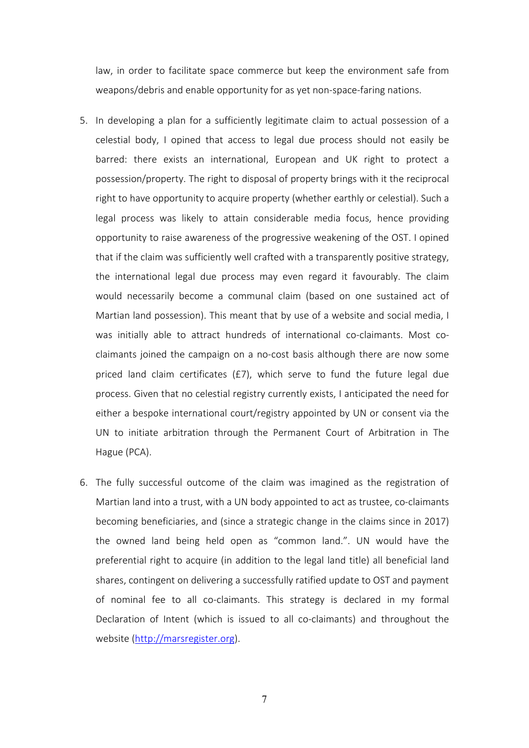law, in order to facilitate space commerce but keep the environment safe from weapons/debris and enable opportunity for as yet non-space-faring nations.

- 5. In developing a plan for a sufficiently legitimate claim to actual possession of a celestial body, I opined that access to legal due process should not easily be barred: there exists an international, European and UK right to protect a possession/property. The right to disposal of property brings with it the reciprocal right to have opportunity to acquire property (whether earthly or celestial). Such a legal process was likely to attain considerable media focus, hence providing opportunity to raise awareness of the progressive weakening of the OST. I opined that if the claim was sufficiently well crafted with a transparently positive strategy, the international legal due process may even regard it favourably. The claim would necessarily become a communal claim (based on one sustained act of Martian land possession). This meant that by use of a website and social media, I was initially able to attract hundreds of international co-claimants. Most coclaimants joined the campaign on a no-cost basis although there are now some priced land claim certificates (£7), which serve to fund the future legal due process. Given that no celestial registry currently exists, I anticipated the need for either a bespoke international court/registry appointed by UN or consent via the UN to initiate arbitration through the Permanent Court of Arbitration in The Hague (PCA).
- 6. The fully successful outcome of the claim was imagined as the registration of Martian land into a trust, with a UN body appointed to act as trustee, co-claimants becoming beneficiaries, and (since a strategic change in the claims since in 2017) the owned land being held open as "common land.". UN would have the preferential right to acquire (in addition to the legal land title) all beneficial land shares, contingent on delivering a successfully ratified update to OST and payment of nominal fee to all co-claimants. This strategy is declared in my formal Declaration of Intent (which is issued to all co-claimants) and throughout the website [\(http://marsregister.org\)](http://marsregister.org/).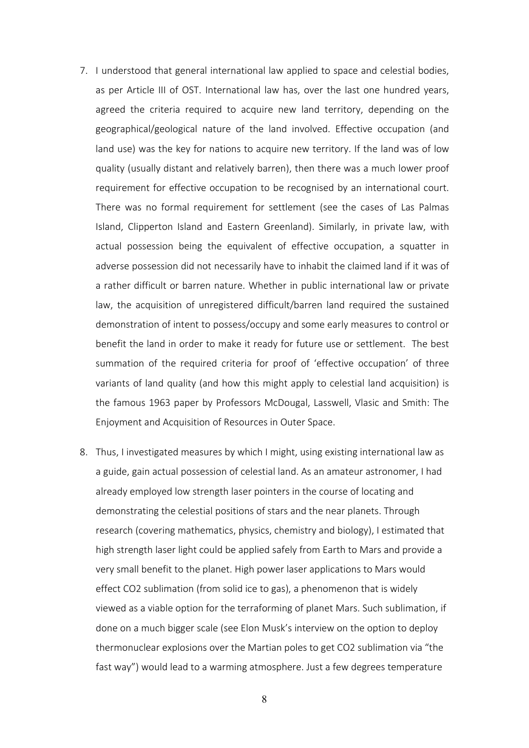- 7. I understood that general international law applied to space and celestial bodies, as per Article III of OST. International law has, over the last one hundred years, agreed the criteria required to acquire new land territory, depending on the geographical/geological nature of the land involved. Effective occupation (and land use) was the key for nations to acquire new territory. If the land was of low quality (usually distant and relatively barren), then there was a much lower proof requirement for effective occupation to be recognised by an international court. There was no formal requirement for settlement (see the cases of Las Palmas Island, Clipperton Island and Eastern Greenland). Similarly, in private law, with actual possession being the equivalent of effective occupation, a squatter in adverse possession did not necessarily have to inhabit the claimed land if it was of a rather difficult or barren nature. Whether in public international law or private law, the acquisition of unregistered difficult/barren land required the sustained demonstration of intent to possess/occupy and some early measures to control or benefit the land in order to make it ready for future use or settlement. The best summation of the required criteria for proof of 'effective occupation' of three variants of land quality (and how this might apply to celestial land acquisition) is the famous 1963 paper by Professors McDougal, Lasswell, Vlasic and Smith: The Enjoyment and [Acquisition](https://scholarship.law.upenn.edu/cgi/viewcontent.cgi?article=6841&context=penn_law_review) of Resources in Outer Space.
- 8. Thus, I investigated measures by which I might, using existing international law as a guide, gain actual possession of celestial land. As an amateur astronomer, I had already employed low strength laser pointers in the course of locating and demonstrating the celestial positions of stars and the near planets. Through research (covering mathematics, physics, chemistry and biology), I estimated that high strength laser light could be applied safely from Earth to Mars and provide a very small benefit to the planet. High power laser applications to Mars would effect CO2 sublimation (from solid ice to gas), a phenomenon that is widely viewed as a viable option for the terraforming of planet Mars. Such sublimation, if done on a much bigger scale (see Elon Musk's interview on the option to deploy thermonuclear explosions over the Martian poles to get CO2 sublimation via "the fast way") would lead to a warming atmosphere. Just a few degrees temperature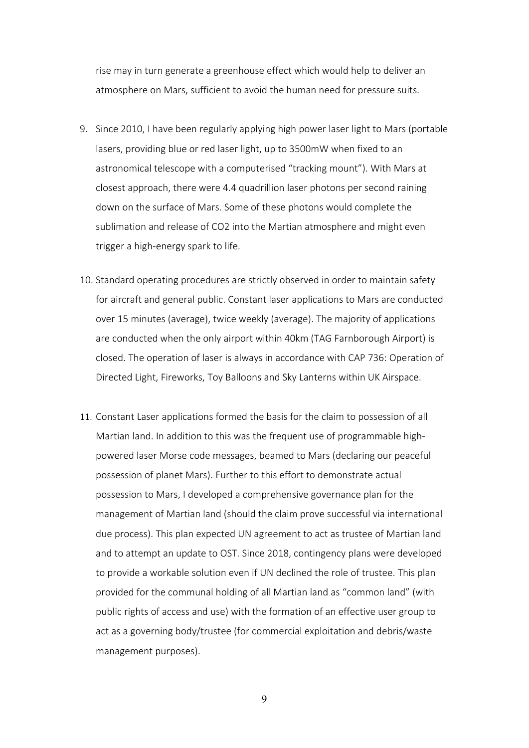rise may in turn generate a greenhouse effect which would help to deliver an atmosphere on Mars, sufficient to avoid the human need for pressure suits.

- 9. Since 2010, I have been regularly applying high power laser light to Mars (portable lasers, providing blue or red laser light, up to 3500mW when fixed to an astronomical telescope with a computerised "tracking mount"). With Mars at closest approach, there were 4.4 quadrillion laser photons per second raining down on the surface of Mars. Some of these photons would complete the sublimation and release of CO2 into the Martian atmosphere and might even trigger a high-energy spark to life.
- 10. Standard operating procedures are strictly observed in order to maintain safety for aircraft and general public. Constant laser applications to Mars are conducted over 15 minutes (average), twice weekly (average). The majority of applications are conducted when the only airport within 40km (TAG Farnborough Airport) is closed. The operation of laser is always in accordance with CAP 736: Operation of Directed Light, Fireworks, Toy Balloons and Sky Lanterns within UK Airspace.
- 11. Constant Laser applications formed the basis for the claim to possession of all Martian land. In addition to this was the frequent use of programmable highpowered laser Morse code messages, beamed to Mars (declaring our peaceful possession of planet Mars). Further to this effort to demonstrate actual possession to Mars, I developed a comprehensive governance plan for the management of Martian land (should the claim prove successful via international due process). This plan expected UN agreement to act as trustee of Martian land and to attempt an update to OST. Since 2018, contingency plans were developed to provide a workable solution even if UN declined the role of trustee. This plan provided for the communal holding of all Martian land as "common land" (with public rights of access and use) with the formation of an effective user group to act as a governing body/trustee (for commercial exploitation and debris/waste management purposes).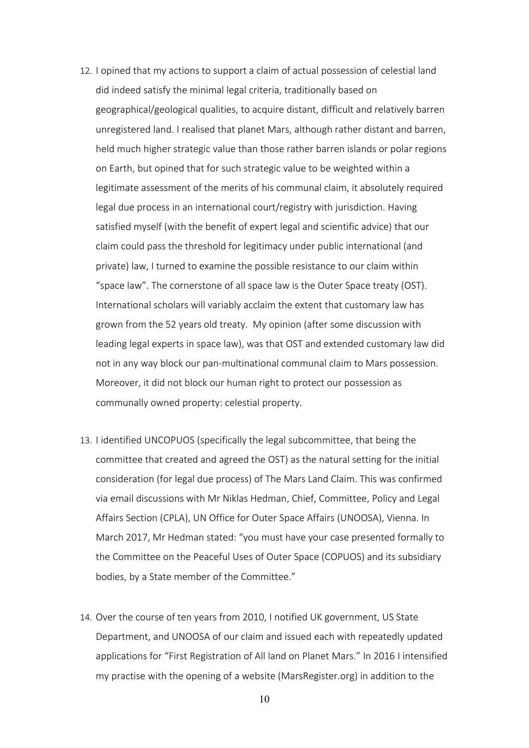- 12. I opined that my actions to support a claim of actual possession of celestial land did indeed satisfy the minimal legal criteria, traditionally based on geographical/geological qualities, to acquire distant, difficult and relatively barren unregistered land. I realised that planet Mars, although rather distant and barren, held much higher strategic value than those rather barren islands or polar regions on Earth, but opined that for such strategic value to be weighted within a legitimate assessment of the merits of his communal claim, it absolutely required legal due process in an international court/registry with jurisdiction. Having satisfied myself (with the benefit of expert legal and scientific advice) that our claim could pass the threshold for legitimacy under public international (and private) law, I turned to examine the possible resistance to our claim within "space law". The cornerstone of all space law is the Outer Space treaty (OST). International scholars will variably acclaim the extent that customary law has grown from the 52 years old treaty. My opinion (after some discussion with leading legal experts in space law), was that OST and extended customary law did not in any way block our pan-multinational communal claim to Mars possession. Moreover, it did not block our human right to protect our possession as communally owned property: celestial property.
- 13. I identified UNCOPUOS (specifically the legal subcommittee, that being the committee that created and agreed the OST) as the natural setting for the initial consideration (for legal due process) of The Mars Land Claim. This was confirmed via email discussions with Mr Niklas Hedman, Chief, Committee, Policy and Legal Affairs Section (CPLA), UN Office for Outer Space Affairs (UNOOSA), Vienna. In March 2017, Mr Hedman stated: "you must have your case presented formally to the Committee on the Peaceful Uses of Outer Space (COPUOS) and its subsidiary bodies, by a State member of the Committee."
- 14. Over the course of ten years from 2010, I notified UK government, US State Department, and UNOOSA of our claim and issued each with repeatedly updated applications for "First Registration of All land on Planet Mars." In 2016 I intensified my practise with the opening of a website (MarsRegister.org) in addition to the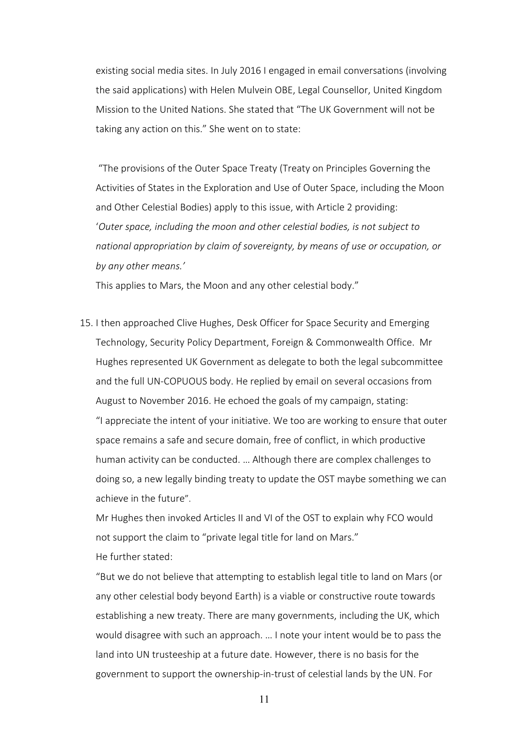existing social media sites. In July 2016 I engaged in email conversations (involving the said applications) with Helen Mulvein OBE, Legal Counsellor, United Kingdom Mission to the United Nations. She stated that "The UK Government will not be taking any action on this." She went on to state:

"The provisions of the Outer Space Treaty (Treaty on Principles Governing the Activities of States in the Exploration and Use of Outer Space, including the Moon and Other Celestial Bodies) apply to this issue, with Article 2 providing: '*Outer space, including the moon and other celestial bodies, is not subject to national appropriation by claim of sovereignty, by means of use or occupation, or by any other means.'*

This applies to Mars, the Moon and any other celestial body."

15. I then approached Clive Hughes, Desk Officer for Space Security and Emerging Technology, Security Policy Department, Foreign & Commonwealth Office. Mr Hughes represented UK Government as delegate to both the legal subcommittee and the full UN-COPUOUS body. He replied by email on several occasions from August to November 2016. He echoed the goals of my campaign, stating: "I appreciate the intent of your initiative. We too are working to ensure that outer space remains a safe and secure domain, free of conflict, in which productive human activity can be conducted. … Although there are complex challenges to doing so, a new legally binding treaty to update the OST maybe something we can achieve in the future".

Mr Hughes then invoked Articles II and VI of the OST to explain why FCO would not support the claim to "private legal title for land on Mars." He further stated:

"But we do not believe that attempting to establish legal title to land on Mars (or any other celestial body beyond Earth) is a viable or constructive route towards establishing a new treaty. There are many governments, including the UK, which would disagree with such an approach. … I note your intent would be to pass the land into UN trusteeship at a future date. However, there is no basis for the government to support the ownership-in-trust of celestial lands by the UN. For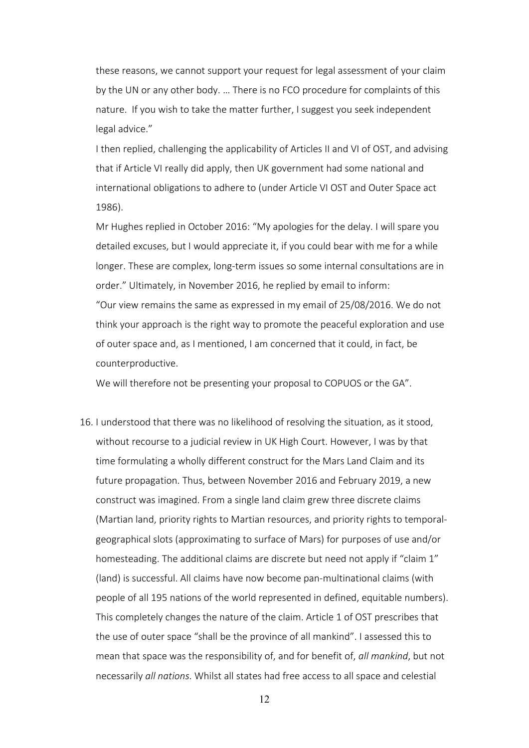these reasons, we cannot support your request for legal assessment of your claim by the UN or any other body. … There is no FCO procedure for complaints of this nature. If you wish to take the matter further, I suggest you seek independent legal advice."

I then replied, challenging the applicability of Articles II and VI of OST, and advising that if Article VI really did apply, then UK government had some national and international obligations to adhere to (under Article VI OST and Outer Space act 1986).

Mr Hughes replied in October 2016: "My apologies for the delay. I will spare you detailed excuses, but I would appreciate it, if you could bear with me for a while longer. These are complex, long-term issues so some internal consultations are in order." Ultimately, in November 2016, he replied by email to inform:

"Our view remains the same as expressed in my email of 25/08/2016. We do not think your approach is the right way to promote the peaceful exploration and use of outer space and, as I mentioned, I am concerned that it could, in fact, be counterproductive.

We will therefore not be presenting your proposal to COPUOS or the GA".

16. I understood that there was no likelihood of resolving the situation, as it stood, without recourse to a judicial review in UK High Court. However, I was by that time formulating a wholly different construct for the Mars Land Claim and its future propagation. Thus, between November 2016 and February 2019, a new construct was imagined. From a single land claim grew three discrete claims (Martian land, priority rights to Martian resources, and priority rights to temporalgeographical slots (approximating to surface of Mars) for purposes of use and/or homesteading. The additional claims are discrete but need not apply if "claim 1" (land) is successful. All claims have now become pan-multinational claims (with people of all 195 nations of the world represented in defined, equitable numbers). This completely changes the nature of the claim. Article 1 of OST prescribes that the use of outer space "shall be the province of all mankind". I assessed this to mean that space was the responsibility of, and for benefit of, *all mankind*, but not necessarily *all nations*. Whilst all states had free access to all space and celestial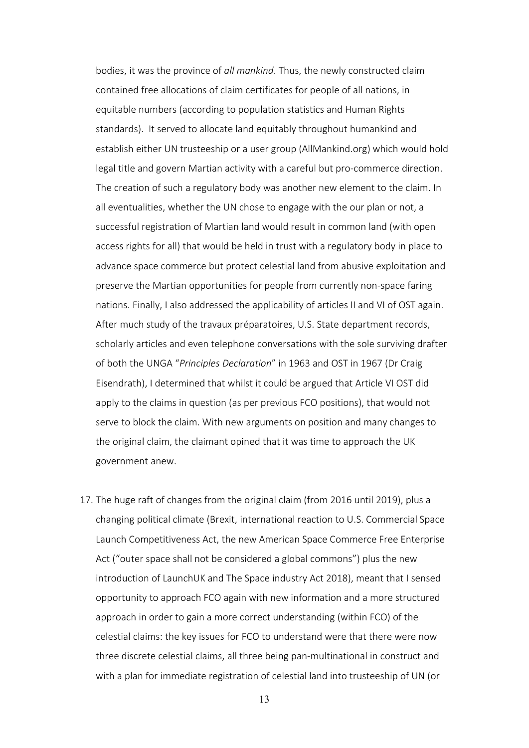bodies, it was the province of *all mankind*. Thus, the newly constructed claim contained free allocations of claim certificates for people of all nations, in equitable numbers (according to population statistics and Human Rights standards). It served to allocate land equitably throughout humankind and establish either UN trusteeship or a user group (AllMankind.org) which would hold legal title and govern Martian activity with a careful but pro-commerce direction. The creation of such a regulatory body was another new element to the claim. In all eventualities, whether the UN chose to engage with the our plan or not, a successful registration of Martian land would result in common land (with open access rights for all) that would be held in trust with a regulatory body in place to advance space commerce but protect celestial land from abusive exploitation and preserve the Martian opportunities for people from currently non-space faring nations. Finally, I also addressed the applicability of articles II and VI of OST again. After much study of the travaux préparatoires, U.S. State department records, scholarly articles and even telephone conversations with the sole surviving drafter of both the UNGA "*Principles Declaration*" in 1963 and OST in 1967 (Dr Craig Eisendrath), I determined that whilst it could be argued that Article VI OST did apply to the claims in question (as per previous FCO positions), that would not serve to block the claim. With new arguments on position and many changes to the original claim, the claimant opined that it was time to approach the UK government anew.

17. The huge raft of changes from the original claim (from 2016 until 2019), plus a changing political climate (Brexit, international reaction to U.S. Commercial Space Launch Competitiveness Act, the new American Space Commerce Free Enterprise Act ("outer space shall not be considered a global commons") plus the new introduction of LaunchUK and The Space industry Act 2018), meant that I sensed opportunity to approach FCO again with new information and a more structured approach in order to gain a more correct understanding (within FCO) of the celestial claims: the key issues for FCO to understand were that there were now three discrete celestial claims, all three being pan-multinational in construct and with a plan for immediate registration of celestial land into trusteeship of UN (or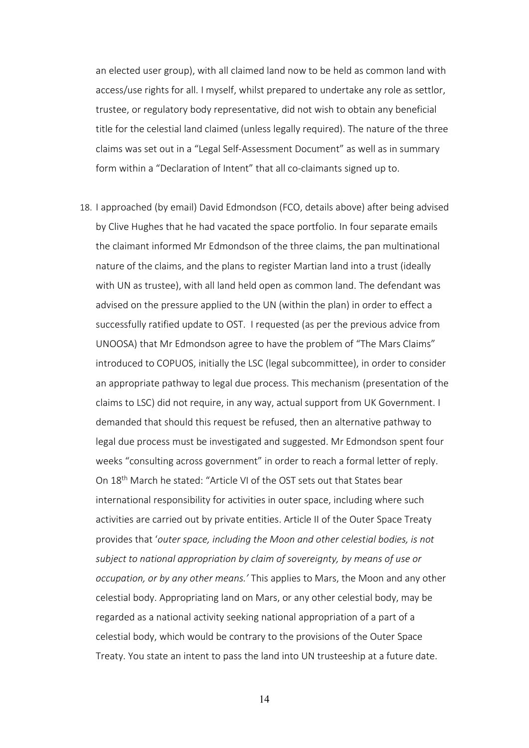an elected user group), with all claimed land now to be held as common land with access/use rights for all. I myself, whilst prepared to undertake any role as settlor, trustee, or regulatory body representative, did not wish to obtain any beneficial title for the celestial land claimed (unless legally required). The nature of the three claims was set out in a "Legal Self-Assessment Document" as well as in summary form within a "Declaration of Intent" that all co-claimants signed up to.

18. I approached (by email) David Edmondson (FCO, details above) after being advised by Clive Hughes that he had vacated the space portfolio. In four separate emails the claimant informed Mr Edmondson of the three claims, the pan multinational nature of the claims, and the plans to register Martian land into a trust (ideally with UN as trustee), with all land held open as common land. The defendant was advised on the pressure applied to the UN (within the plan) in order to effect a successfully ratified update to OST. I requested (as per the previous advice from UNOOSA) that Mr Edmondson agree to have the problem of "The Mars Claims" introduced to COPUOS, initially the LSC (legal subcommittee), in order to consider an appropriate pathway to legal due process. This mechanism (presentation of the claims to LSC) did not require, in any way, actual support from UK Government. I demanded that should this request be refused, then an alternative pathway to legal due process must be investigated and suggested. Mr Edmondson spent four weeks "consulting across government" in order to reach a formal letter of reply. On 18th March he stated: "Article VI of the OST sets out that States bear international responsibility for activities in outer space, including where such activities are carried out by private entities. Article II of the Outer Space Treaty provides that '*outer space, including the Moon and other celestial bodies, is not subject to national appropriation by claim of sovereignty, by means of use or occupation, or by any other means.'* This applies to Mars, the Moon and any other celestial body. Appropriating land on Mars, or any other celestial body, may be regarded as a national activity seeking national appropriation of a part of a celestial body, which would be contrary to the provisions of the Outer Space Treaty. You state an intent to pass the land into UN trusteeship at a future date.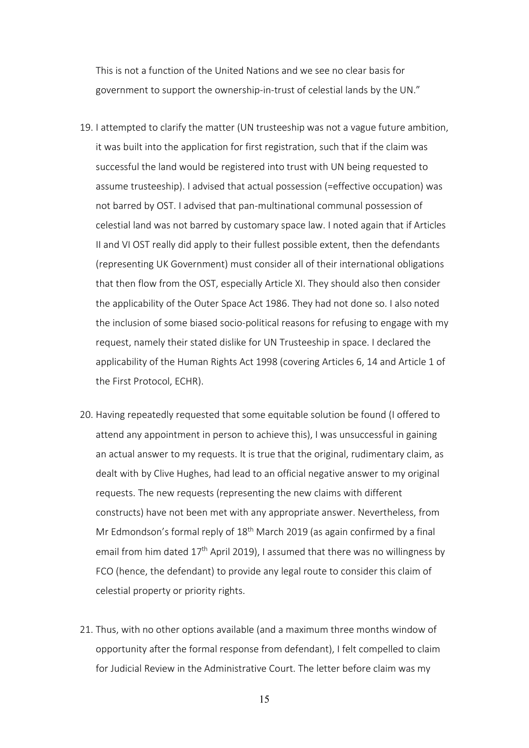This is not a function of the United Nations and we see no clear basis for government to support the ownership-in-trust of celestial lands by the UN."

- 19. I attempted to clarify the matter (UN trusteeship was not a vague future ambition, it was built into the application for first registration, such that if the claim was successful the land would be registered into trust with UN being requested to assume trusteeship). I advised that actual possession (=effective occupation) was not barred by OST. I advised that pan-multinational communal possession of celestial land was not barred by customary space law. I noted again that if Articles II and VI OST really did apply to their fullest possible extent, then the defendants (representing UK Government) must consider all of their international obligations that then flow from the OST, especially Article XI. They should also then consider the applicability of the Outer Space Act 1986. They had not done so. I also noted the inclusion of some biased socio-political reasons for refusing to engage with my request, namely their stated dislike for UN Trusteeship in space. I declared the applicability of the Human Rights Act 1998 (covering Articles 6, 14 and Article 1 of the First Protocol, ECHR).
- 20. Having repeatedly requested that some equitable solution be found (I offered to attend any appointment in person to achieve this), I was unsuccessful in gaining an actual answer to my requests. It is true that the original, rudimentary claim, as dealt with by Clive Hughes, had lead to an official negative answer to my original requests. The new requests (representing the new claims with different constructs) have not been met with any appropriate answer. Nevertheless, from Mr Edmondson's formal reply of  $18<sup>th</sup>$  March 2019 (as again confirmed by a final email from him dated  $17<sup>th</sup>$  April 2019), I assumed that there was no willingness by FCO (hence, the defendant) to provide any legal route to consider this claim of celestial property or priority rights.
- 21. Thus, with no other options available (and a maximum three months window of opportunity after the formal response from defendant), I felt compelled to claim for Judicial Review in the Administrative Court. The letter before claim was my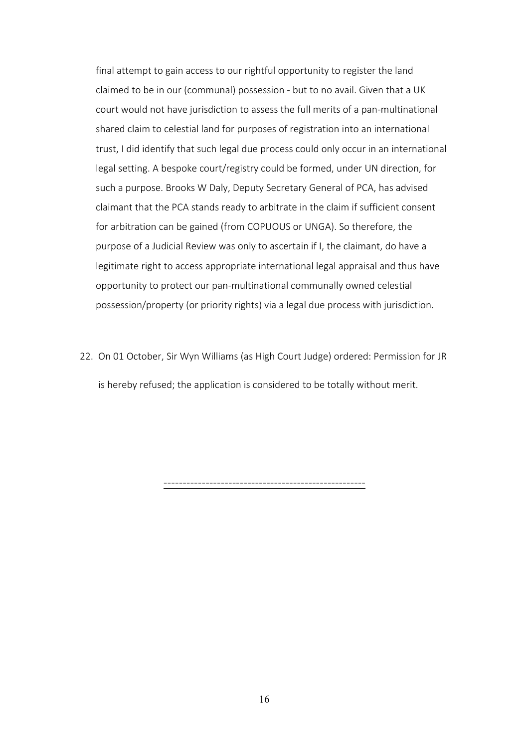final attempt to gain access to our rightful opportunity to register the land claimed to be in our (communal) possession - but to no avail. Given that a UK court would not have jurisdiction to assess the full merits of a pan-multinational shared claim to celestial land for purposes of registration into an international trust, I did identify that such legal due process could only occur in an international legal setting. A bespoke court/registry could be formed, under UN direction, for such a purpose. Brooks W Daly, Deputy Secretary General of PCA, has advised claimant that the PCA stands ready to arbitrate in the claim if sufficient consent for arbitration can be gained (from COPUOUS or UNGA). So therefore, the purpose of a Judicial Review was only to ascertain if I, the claimant, do have a legitimate right to access appropriate international legal appraisal and thus have opportunity to protect our pan-multinational communally owned celestial possession/property (or priority rights) via a legal due process with jurisdiction.

22. On 01 October, Sir Wyn Williams (as High Court Judge) ordered: Permission for JR is hereby refused; the application is considered to be totally without merit.

-----------------------------------------------------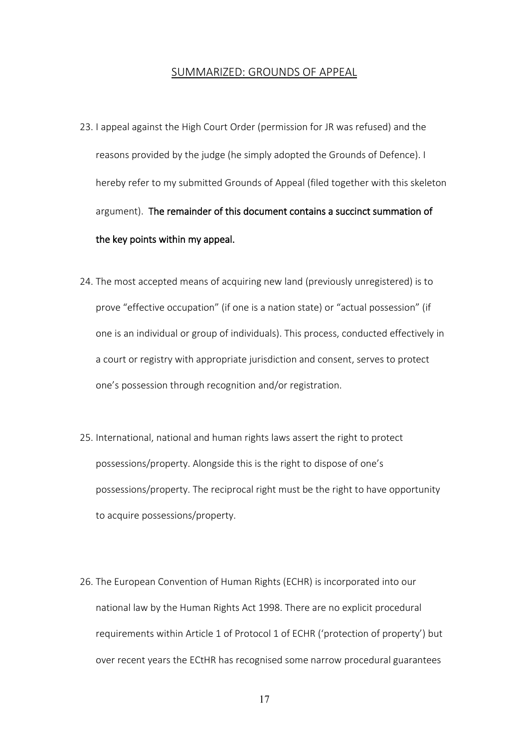#### SUMMARIZED: GROUNDS OF APPEAL

- 23. I appeal against the High Court Order (permission for JR was refused) and the reasons provided by the judge (he simply adopted the Grounds of Defence). I hereby refer to my submitted Grounds of Appeal (filed together with this skeleton argument). The remainder of this document contains a succinct summation of the key points within my appeal.
- 24. The most accepted means of acquiring new land (previously unregistered) is to prove "effective occupation" (if one is a nation state) or "actual possession" (if one is an individual or group of individuals). This process, conducted effectively in a court or registry with appropriate jurisdiction and consent, serves to protect one's possession through recognition and/or registration.
- 25. International, national and human rights laws assert the right to protect possessions/property. Alongside this is the right to dispose of one's possessions/property. The reciprocal right must be the right to have opportunity to acquire possessions/property.
- 26. The European Convention of Human Rights (ECHR) is incorporated into our national law by the Human Rights Act 1998. There are no explicit procedural requirements within Article 1 of Protocol 1 of ECHR ('protection of property') but over recent years the ECtHR has recognised some narrow procedural guarantees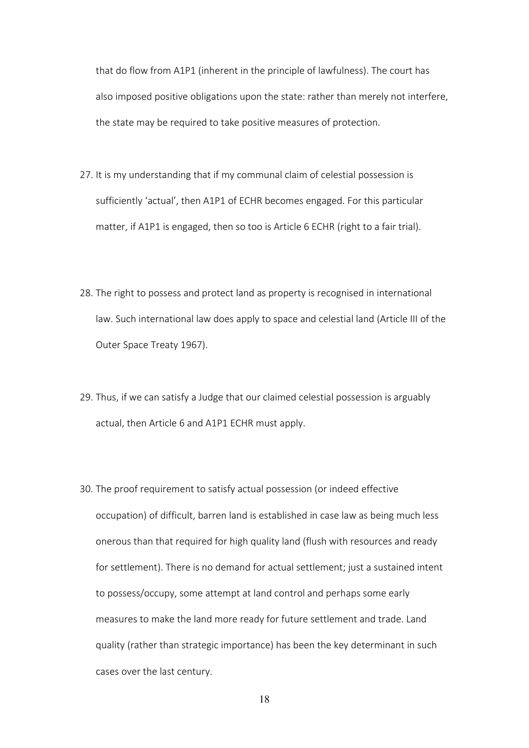that do flow from A1P1 (inherent in the principle of lawfulness). The court has also imposed positive obligations upon the state: rather than merely not interfere, the state may be required to take positive measures of protection.

- 27. It is my understanding that if my communal claim of celestial possession is sufficiently 'actual', then A1P1 of ECHR becomes engaged. For this particular matter, if A1P1 is engaged, then so too is Article 6 ECHR (right to a fair trial).
- 28. The right to possess and protect land as property is recognised in international law. Such international law does apply to space and celestial land (Article III of the Outer Space Treaty 1967).
- 29. Thus, if we can satisfy a Judge that our claimed celestial possession is arguably actual, then Article 6 and A1P1 ECHR must apply.
- 30. The proof requirement to satisfy actual possession (or indeed effective occupation) of difficult, barren land is established in case law as being much less onerous than that required for high quality land (flush with resources and ready for settlement). There is no demand for actual settlement; just a sustained intent to possess/occupy, some attempt at land control and perhaps some early measures to make the land more ready for future settlement and trade. Land quality (rather than strategic importance) has been the key determinant in such cases over the last century.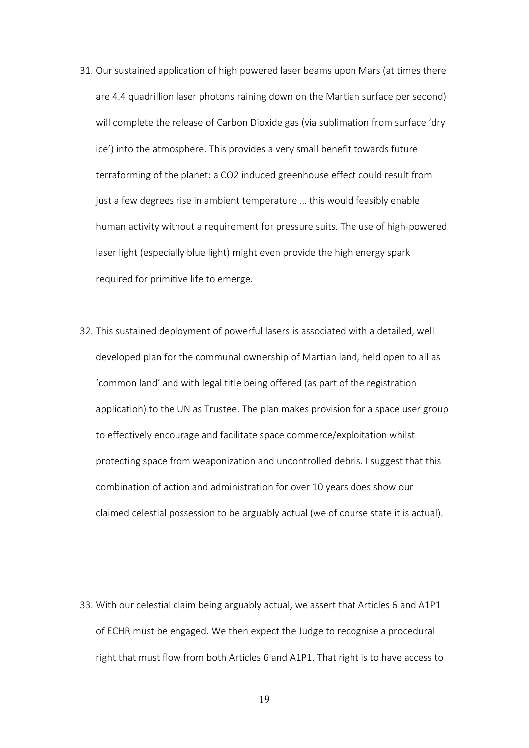- 31. Our sustained application of high powered laser beams upon Mars (at times there are 4.4 quadrillion laser photons raining down on the Martian surface per second) will complete the release of Carbon Dioxide gas (via sublimation from surface 'dry ice') into the atmosphere. This provides a very small benefit towards future terraforming of the planet: a CO2 induced greenhouse effect could result from just a few degrees rise in ambient temperature … this would feasibly enable human activity without a requirement for pressure suits. The use of high-powered laser light (especially blue light) might even provide the high energy spark required for primitive life to emerge.
- 32. This sustained deployment of powerful lasers is associated with a detailed, well developed plan for the communal ownership of Martian land, held open to all as 'common land' and with legal title being offered (as part of the registration application) to the UN as Trustee. The plan makes provision for a space user group to effectively encourage and facilitate space commerce/exploitation whilst protecting space from weaponization and uncontrolled debris. I suggest that this combination of action and administration for over 10 years does show our claimed celestial possession to be arguably actual (we of course state it is actual).

33. With our celestial claim being arguably actual, we assert that Articles 6 and A1P1 of ECHR must be engaged. We then expect the Judge to recognise a procedural right that must flow from both Articles 6 and A1P1. That right is to have access to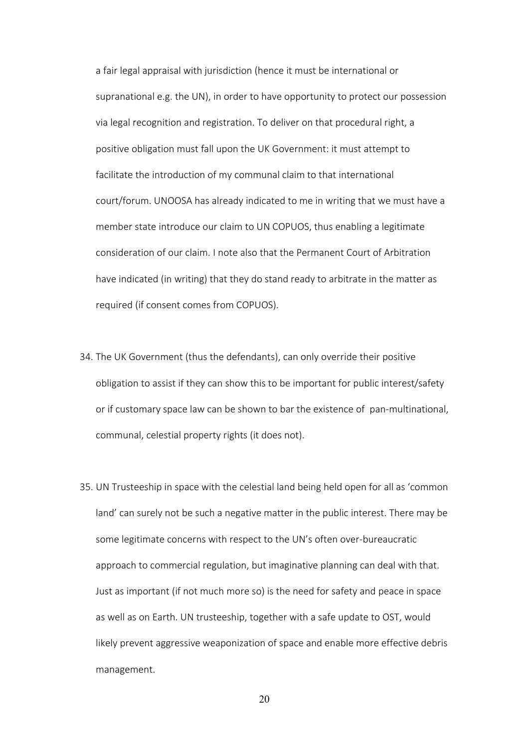a fair legal appraisal with jurisdiction (hence it must be international or supranational e.g. the UN), in order to have opportunity to protect our possession via legal recognition and registration. To deliver on that procedural right, a positive obligation must fall upon the UK Government: it must attempt to facilitate the introduction of my communal claim to that international court/forum. UNOOSA has already indicated to me in writing that we must have a member state introduce our claim to UN COPUOS, thus enabling a legitimate consideration of our claim. I note also that the Permanent Court of Arbitration have indicated (in writing) that they do stand ready to arbitrate in the matter as required (if consent comes from COPUOS).

- 34. The UK Government (thus the defendants), can only override their positive obligation to assist if they can show this to be important for public interest/safety or if customary space law can be shown to bar the existence of pan-multinational, communal, celestial property rights (it does not).
- 35. UN Trusteeship in space with the celestial land being held open for all as 'common land' can surely not be such a negative matter in the public interest. There may be some legitimate concerns with respect to the UN's often over-bureaucratic approach to commercial regulation, but imaginative planning can deal with that. Just as important (if not much more so) is the need for safety and peace in space as well as on Earth. UN trusteeship, together with a safe update to OST, would likely prevent aggressive weaponization of space and enable more effective debris management.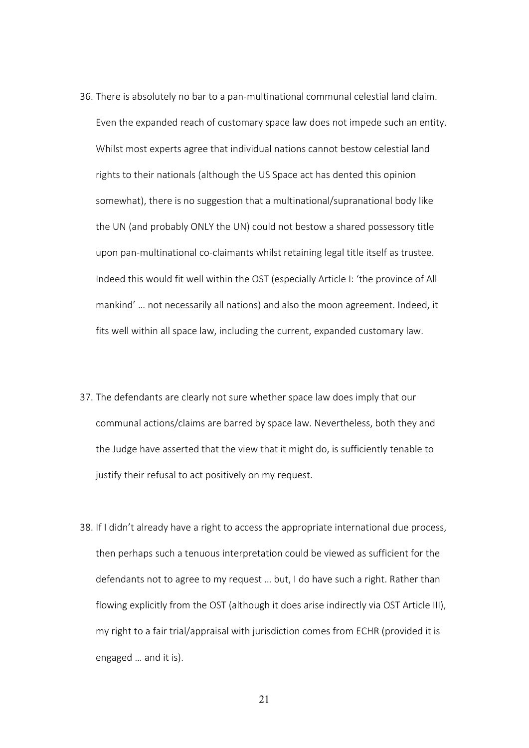- 36. There is absolutely no bar to a pan-multinational communal celestial land claim. Even the expanded reach of customary space law does not impede such an entity. Whilst most experts agree that individual nations cannot bestow celestial land rights to their nationals (although the US Space act has dented this opinion somewhat), there is no suggestion that a multinational/supranational body like the UN (and probably ONLY the UN) could not bestow a shared possessory title upon pan-multinational co-claimants whilst retaining legal title itself as trustee. Indeed this would fit well within the OST (especially Article I: 'the province of All mankind' … not necessarily all nations) and also the moon agreement. Indeed, it fits well within all space law, including the current, expanded customary law.
- 37. The defendants are clearly not sure whether space law does imply that our communal actions/claims are barred by space law. Nevertheless, both they and the Judge have asserted that the view that it might do, is sufficiently tenable to justify their refusal to act positively on my request.
- 38. If I didn't already have a right to access the appropriate international due process, then perhaps such a tenuous interpretation could be viewed as sufficient for the defendants not to agree to my request … but, I do have such a right. Rather than flowing explicitly from the OST (although it does arise indirectly via OST Article III), my right to a fair trial/appraisal with jurisdiction comes from ECHR (provided it is engaged … and it is).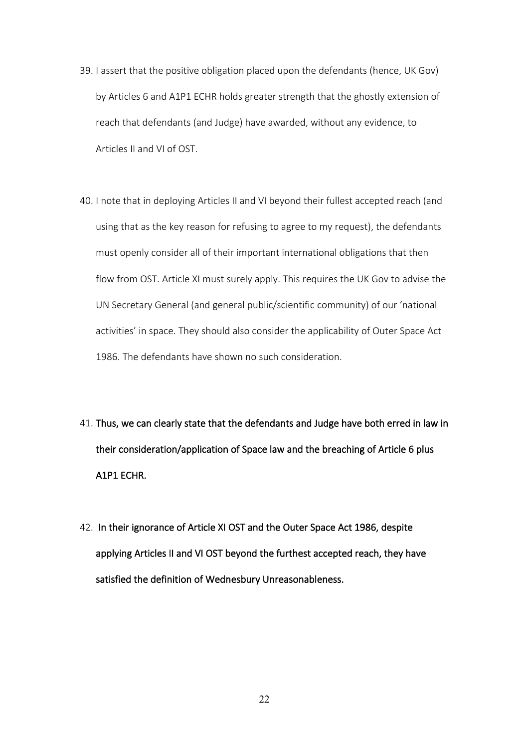- 39. I assert that the positive obligation placed upon the defendants (hence, UK Gov) by Articles 6 and A1P1 ECHR holds greater strength that the ghostly extension of reach that defendants (and Judge) have awarded, without any evidence, to Articles II and VI of OST.
- 40. I note that in deploying Articles II and VI beyond their fullest accepted reach (and using that as the key reason for refusing to agree to my request), the defendants must openly consider all of their important international obligations that then flow from OST. Article XI must surely apply. This requires the UK Gov to advise the UN Secretary General (and general public/scientific community) of our 'national activities' in space. They should also consider the applicability of Outer Space Act 1986. The defendants have shown no such consideration.
- 41. Thus, we can clearly state that the defendants and Judge have both erred in law in their consideration/application of Space law and the breaching of Article 6 plus A1P1 ECHR.
- 42. In their ignorance of Article XI OST and the Outer Space Act 1986, despite applying Articles II and VI OST beyond the furthest accepted reach, they have satisfied the definition of Wednesbury Unreasonableness.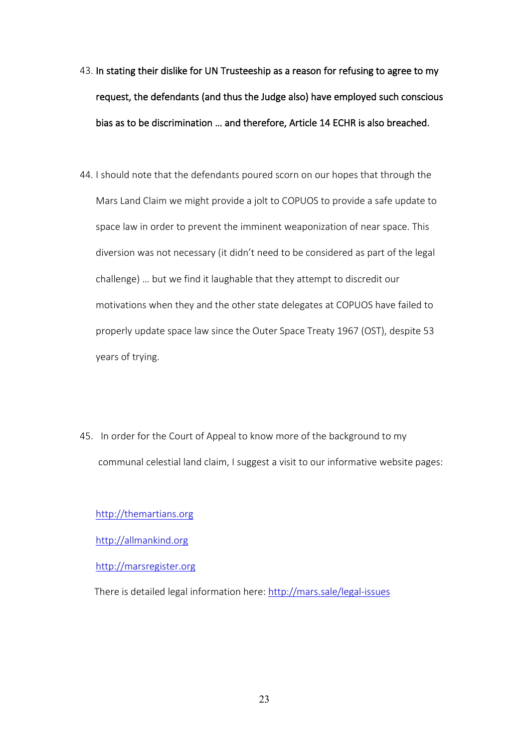- 43. In stating their dislike for UN Trusteeship as a reason for refusing to agree to my request, the defendants (and thus the Judge also) have employed such conscious bias as to be discrimination … and therefore, Article 14 ECHR is also breached.
- 44. I should note that the defendants poured scorn on our hopes that through the Mars Land Claim we might provide a jolt to COPUOS to provide a safe update to space law in order to prevent the imminent weaponization of near space. This diversion was not necessary (it didn't need to be considered as part of the legal challenge) … but we find it laughable that they attempt to discredit our motivations when they and the other state delegates at COPUOS have failed to properly update space law since the Outer Space Treaty 1967 (OST), despite 53 years of trying.
- 45. In order for the Court of Appeal to know more of the background to my communal celestial land claim, I suggest a visit to our informative website pages:

[http://themartians.org](http://themartians.org/)

[http://allmankind.org](http://allmankind.org/)

[http://marsregister.org](http://marsregister.org/)

There is detailed legal information here:<http://mars.sale/legal-issues>